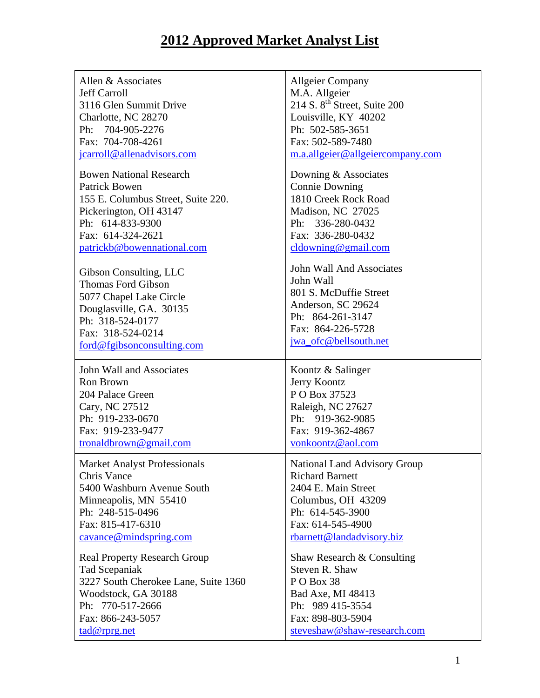## **2012 Approved Market Analyst List**

| Allen & Associates                   | <b>Allgeier Company</b>                  |
|--------------------------------------|------------------------------------------|
| <b>Jeff Carroll</b>                  | M.A. Allgeier                            |
| 3116 Glen Summit Drive               | 214 S. 8 <sup>th</sup> Street, Suite 200 |
| Charlotte, NC 28270                  | Louisville, KY 40202                     |
| Ph: 704-905-2276                     | Ph: 502-585-3651                         |
| Fax: 704-708-4261                    | Fax: 502-589-7480                        |
| jcarroll@allenadvisors.com           | m.a.allgeier@allgeiercompany.com         |
| <b>Bowen National Research</b>       | Downing & Associates                     |
| <b>Patrick Bowen</b>                 | <b>Connie Downing</b>                    |
| 155 E. Columbus Street, Suite 220.   | 1810 Creek Rock Road                     |
| Pickerington, OH 43147               | Madison, NC 27025                        |
| Ph: 614-833-9300                     | Ph: 336-280-0432                         |
| Fax: 614-324-2621                    | Fax: 336-280-0432                        |
| patrickb@bowennational.com           | $c$ ldowning@gmail.com                   |
| Gibson Consulting, LLC               | <b>John Wall And Associates</b>          |
| <b>Thomas Ford Gibson</b>            | John Wall                                |
| 5077 Chapel Lake Circle              | 801 S. McDuffie Street                   |
| Douglasville, GA. 30135              | Anderson, SC 29624                       |
| Ph: 318-524-0177                     | Ph: 864-261-3147                         |
| Fax: 318-524-0214                    | Fax: 864-226-5728                        |
| ford@fgibsonconsulting.com           | jwa_ofc@bellsouth.net                    |
| John Wall and Associates             | Koontz & Salinger                        |
| Ron Brown                            | Jerry Koontz                             |
| 204 Palace Green                     | PO Box 37523                             |
| Cary, NC 27512                       | Raleigh, NC 27627                        |
| Ph: 919-233-0670                     | Ph: 919-362-9085                         |
| Fax: 919-233-9477                    | Fax: 919-362-4867                        |
| tronaldbrown@gmail.com               | vonkoontz@aol.com                        |
| <b>Market Analyst Professionals</b>  | National Land Advisory Group             |
| <b>Chris Vance</b>                   | <b>Richard Barnett</b>                   |
| 5400 Washburn Avenue South           | 2404 E. Main Street                      |
| Minneapolis, MN 55410                | Columbus, OH 43209                       |
| Ph: 248-515-0496                     | Ph: 614-545-3900                         |
| Fax: 815-417-6310                    | Fax: 614-545-4900                        |
| cavance@mindspring.com               | rbarnett@landadvisory.biz                |
| <b>Real Property Research Group</b>  | Shaw Research & Consulting               |
| Tad Scepaniak                        | Steven R. Shaw                           |
| 3227 South Cherokee Lane, Suite 1360 | PO Box 38                                |
| Woodstock, GA 30188                  | Bad Axe, MI 48413                        |
| Ph: 770-517-2666                     | Ph: 989 415-3554                         |
| Fax: 866-243-5057                    | Fax: 898-803-5904                        |
| tad@rprg.net                         | steveshaw@shaw-research.com              |